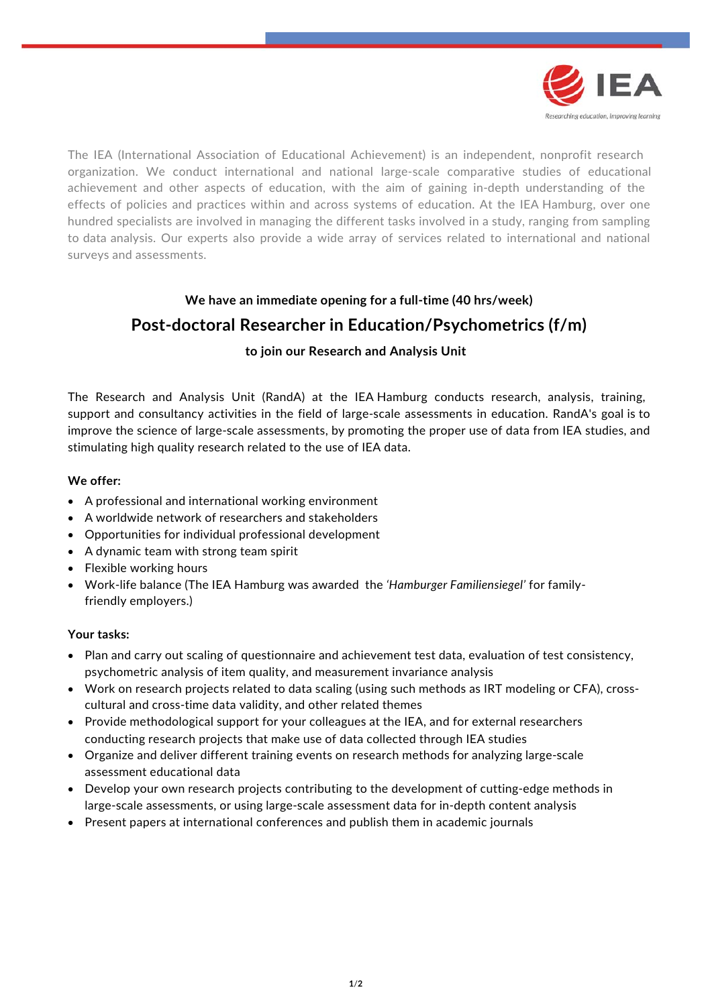

The IEA (International Association of Educational Achievement) is an independent, nonprofit research organization. We conduct international and national large‐scale comparative studies of educational achievement and other aspects of education, with the aim of gaining in‐depth understanding of the effects of policies and practices within and across systems of education. At the IEA Hamburg, over one hundred specialists are involved in managing the different tasks involved in a study, ranging from sampling to data analysis. Our experts also provide a wide array of services related to international and national surveys and assessments.

# **We have an immediate opening for a full‐time (40 hrs/week) Post‐doctoral Researcher in Education/Psychometrics (f/m)**

## **to join our Research and Analysis Unit**

The Research and Analysis Unit (RandA) at the IEA Hamburg conducts research, analysis, training, support and consultancy activities in the field of large-scale assessments in education. RandA's goal is to improve the science of large-scale assessments, by promoting the proper use of data from IEA studies, and stimulating high quality research related to the use of IEA data.

### **We offer:**

- A professional and international working environment
- A worldwide network of researchers and stakeholders
- Opportunities for individual professional development
- A dynamic team with strong team spirit
- Flexible working hours
- Work‐life balance (The IEA Hamburg was awarded the *'Hamburger Familiensiegel'* for family‐ friendly employers.)

#### **Your tasks:**

- Plan and carry out scaling of questionnaire and achievement test data, evaluation of test consistency, psychometric analysis of item quality, and measurement invariance analysis
- Work on research projects related to data scaling (using such methods as IRT modeling or CFA), crosscultural and cross‐time data validity, and other related themes
- Provide methodological support for your colleagues at the IEA, and for external researchers conducting research projects that make use of data collected through IEA studies
- Organize and deliver different training events on research methods for analyzing large‐scale assessment educational data
- Develop your own research projects contributing to the development of cutting-edge methods in large‐scale assessments, or using large‐scale assessment data for in‐depth content analysis
- Present papers at international conferences and publish them in academic journals